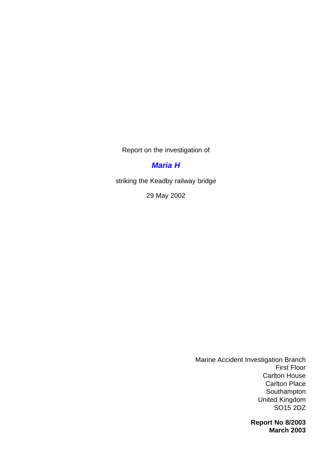Report on the investigation of

## *[Maria H](#page-2-0)*

striking the Keadby railway bridge

29 May 2002

Marine Accident Investigation Branch First Floor Carlton House Carlton Place Southampton United Kingdom SO15 2DZ

> **Report No 8/2003 March 2003**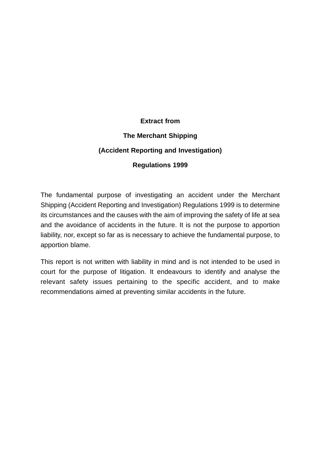#### **Extract from**

#### **The Merchant Shipping**

#### **(Accident Reporting and Investigation)**

#### **Regulations 1999**

The fundamental purpose of investigating an accident under the Merchant Shipping (Accident Reporting and Investigation) Regulations 1999 is to determine its circumstances and the causes with the aim of improving the safety of life at sea and the avoidance of accidents in the future. It is not the purpose to apportion liability, nor, except so far as is necessary to achieve the fundamental purpose, to apportion blame.

This report is not written with liability in mind and is not intended to be used in court for the purpose of litigation. It endeavours to identify and analyse the relevant safety issues pertaining to the specific accident, and to make recommendations aimed at preventing similar accidents in the future.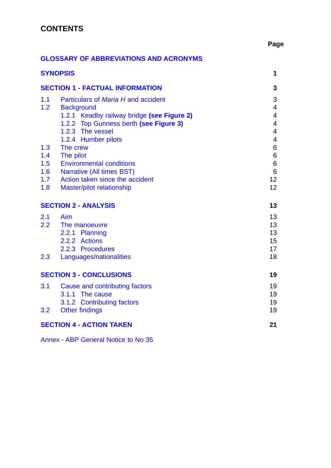# <span id="page-2-0"></span>**CONTENTS**

## **Page**

### **GLOSSARY [OF ABBREVIATIONS AND ACRONYMS](#page-3-0)**

| <b>SYNOPSIS</b>                        |                                            | 1                        |  |  |
|----------------------------------------|--------------------------------------------|--------------------------|--|--|
| <b>SECTION 1 - FACTUAL INFORMATION</b> |                                            |                          |  |  |
| 1.1                                    | Particulars of Maria H and accident        | 3                        |  |  |
| 1.2                                    | <b>Background</b>                          | 4                        |  |  |
|                                        | 1.2.1 Keadby railway bridge (see Figure 2) | 4                        |  |  |
|                                        | 1.2.2 Top Gunness berth (see Figure 3)     | $\overline{\mathcal{A}}$ |  |  |
|                                        | 1.2.3 The vessel                           | 4                        |  |  |
|                                        | 1.2.4 Humber pilots                        | 4                        |  |  |
| 1.3                                    | The crew                                   | 6                        |  |  |
| 1.4                                    | The pilot                                  | 6                        |  |  |
| 1.5                                    | <b>Environmental conditions</b>            | $\,6$                    |  |  |
| 1.6                                    | <b>Narrative (All times BST)</b>           | $6\phantom{1}6$          |  |  |
| 1.7                                    | Action taken since the accident            | 12                       |  |  |
| 1.8                                    | Master/pilot relationship                  | 12                       |  |  |
|                                        | <b>SECTION 2 - ANALYSIS</b>                | 13                       |  |  |
| 2.1                                    | Aim                                        | 13                       |  |  |
| 2.2                                    | The manoeuvre                              | 13                       |  |  |
|                                        | 2.2.1 Planning                             | 13                       |  |  |
|                                        | 2.2.2 Actions                              | 15                       |  |  |
|                                        | 2.2.3 Procedures                           | 17                       |  |  |
| 2.3                                    | Languages/nationalities                    | 18                       |  |  |
|                                        | <b>SECTION 3 - CONCLUSIONS</b>             | 19                       |  |  |
| 3.1                                    | <b>Cause and contributing factors</b>      | 19                       |  |  |
|                                        | 3.1.1 The cause                            | 19                       |  |  |
|                                        | 3.1.2 Contributing factors                 | 19                       |  |  |
| 3.2                                    | <b>Other findings</b>                      | 19                       |  |  |
|                                        |                                            |                          |  |  |
| <b>SECTION 4 - ACTION TAKEN</b><br>21  |                                            |                          |  |  |

Annex - ABP [General Notice to No 35](#page-26-0)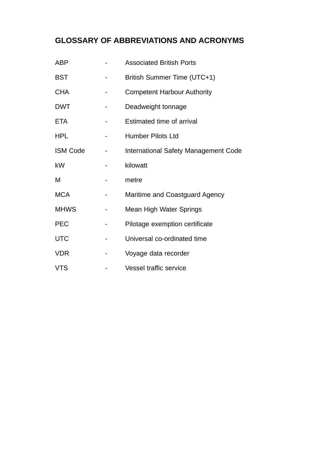# <span id="page-3-0"></span>**[GLOSSARY OF ABBREVIATIONS AND ACRONYMS](#page-2-0)**

| ABP             | <b>Associated British Ports</b>      |
|-----------------|--------------------------------------|
| <b>BST</b>      | British Summer Time (UTC+1)          |
| <b>CHA</b>      | <b>Competent Harbour Authority</b>   |
| <b>DWT</b>      | Deadweight tonnage                   |
| <b>ETA</b>      | Estimated time of arrival            |
| <b>HPL</b>      | <b>Humber Pilots Ltd</b>             |
| <b>ISM Code</b> | International Safety Management Code |
| kW              | kilowatt                             |
| М               | metre                                |
| <b>MCA</b>      | Maritime and Coastguard Agency       |
| <b>MHWS</b>     | <b>Mean High Water Springs</b>       |
| <b>PEC</b>      | Pilotage exemption certificate       |
| <b>UTC</b>      | Universal co-ordinated time          |
| <b>VDR</b>      | Voyage data recorder                 |
| <b>VTS</b>      | <b>Vessel traffic service</b>        |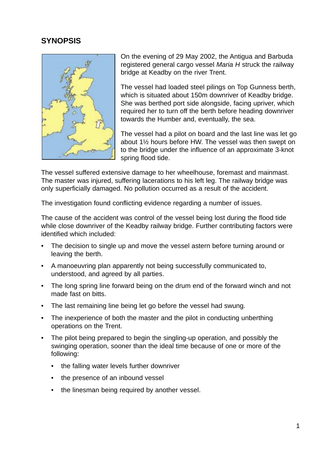## <span id="page-4-0"></span>**[SYNOPSIS](#page-2-0)**



On the evening of 29 May 2002, the Antigua and Barbuda registered general cargo vessel *Maria H* struck the railway bridge at Keadby on the river Trent.

The vessel had loaded steel pilings on Top Gunness berth, which is situated about 150m downriver of Keadby bridge. She was berthed port side alongside, facing upriver, which required her to turn off the berth before heading downriver towards the Humber and, eventually, the sea.

The vessel had a pilot on board and the last line was let go about 1½ hours before HW. The vessel was then swept on to the bridge under the influence of an approximate 3-knot spring flood tide.

The vessel suffered extensive damage to her wheelhouse, foremast and mainmast. The master was injured, suffering lacerations to his left leg. The railway bridge was only superficially damaged. No pollution occurred as a result of the accident.

The investigation found conflicting evidence regarding a number of issues.

The cause of the accident was control of the vessel being lost during the flood tide while close downriver of the Keadby railway bridge. Further contributing factors were identified which included:

- The decision to single up and move the vessel astern before turning around or leaving the berth.
- A manoeuvring plan apparently not being successfully communicated to, understood, and agreed by all parties.
- The long spring line forward being on the drum end of the forward winch and not made fast on bitts.
- The last remaining line being let go before the vessel had swung.
- The inexperience of both the master and the pilot in conducting unberthing operations on the Trent.
- The pilot being prepared to begin the singling-up operation, and possibly the swinging operation, sooner than the ideal time because of one or more of the following:
	- the falling water levels further downriver
	- the presence of an inbound vessel
	- the linesman being required by another vessel.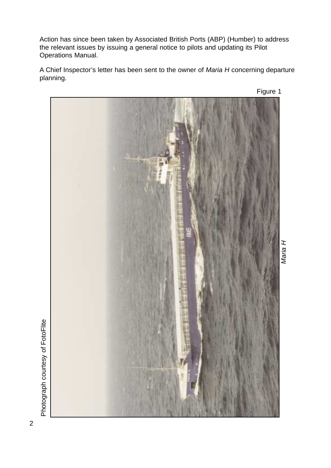Action has since been taken by Associated British Ports (ABP) (Humber) to address the relevant issues by issuing a general notice to pilots and updating its Pilot Operations Manual.

A Chief Inspector's letter has been sent to the owner of *Maria H* concerning departure planning.



Photograph courtesy of FotoFlite Photograph courtesy of FotoFlite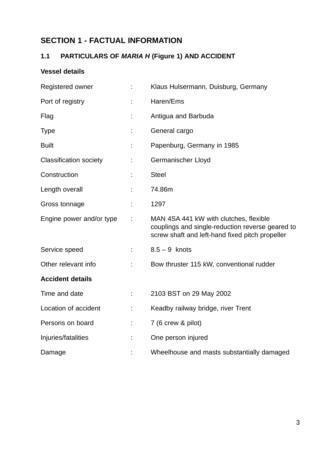# <span id="page-6-0"></span>**[SECTION 1 - FACTUAL INFORMATION](#page-2-0)**

# **1.1 PARTICULARS OF** *MARIA H* **(Figure 1) AND ACCIDENT**

## **Vessel details**

| Registered owner              |    | Klaus Hulsermann, Duisburg, Germany                                                                                                           |
|-------------------------------|----|-----------------------------------------------------------------------------------------------------------------------------------------------|
| Port of registry              |    | Haren/Ems                                                                                                                                     |
| Flag                          |    | Antigua and Barbuda                                                                                                                           |
| <b>Type</b>                   |    | General cargo                                                                                                                                 |
| <b>Built</b>                  |    | Papenburg, Germany in 1985                                                                                                                    |
| <b>Classification society</b> |    | Germanischer Lloyd                                                                                                                            |
| Construction                  |    | <b>Steel</b>                                                                                                                                  |
| Length overall                |    | 74.86m                                                                                                                                        |
| Gross tonnage                 |    | 1297                                                                                                                                          |
| Engine power and/or type      |    | MAN 4SA 441 kW with clutches, flexible<br>couplings and single-reduction reverse geared to<br>screw shaft and left-hand fixed pitch propeller |
| Service speed                 |    | $8.5 - 9$ knots                                                                                                                               |
| Other relevant info           | ÷  | Bow thruster 115 kW, conventional rudder                                                                                                      |
| <b>Accident details</b>       |    |                                                                                                                                               |
| Time and date                 |    | 2103 BST on 29 May 2002                                                                                                                       |
| Location of accident          | t, | Keadby railway bridge, river Trent                                                                                                            |
| Persons on board              | ÷  | 7 (6 crew & pilot)                                                                                                                            |
| Injuries/fatalities           |    | One person injured                                                                                                                            |
| Damage                        |    | Wheelhouse and masts substantially damaged                                                                                                    |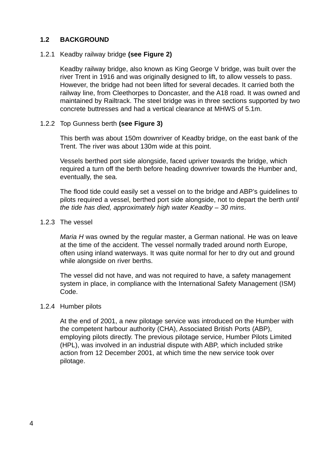#### <span id="page-7-0"></span>**[1.2 BACKGROUND](#page-2-0)**

#### 1.2.1 Keadby railway bridge **(see Figure 2)**

Keadby railway bridge, also known as King George V bridge, was built over the river Trent in 1916 and was originally designed to lift, to allow vessels to pass. However, the bridge had not been lifted for several decades. It carried both the railway line, from Cleethorpes to Doncaster, and the A18 road. It was owned and maintained by Railtrack. The steel bridge was in three sections supported by two concrete buttresses and had a vertical clearance at MHWS of 5.1m.

#### 1.2.2 Top Gunness berth **(see Figure 3)**

This berth was about 150m downriver of Keadby bridge, on the east bank of the Trent. The river was about 130m wide at this point.

Vessels berthed port side alongside, faced upriver towards the bridge, which required a turn off the berth before heading downriver towards the Humber and, eventually, the sea.

The flood tide could easily set a vessel on to the bridge and ABP's guidelines to pilots required a vessel, berthed port side alongside, not to depart the berth *until the tide has died, approximately high water Keadby – 30 mins*.

#### 1.2.3 The vessel

*Maria H* was owned by the regular master, a German national. He was on leave at the time of the accident. The vessel normally traded around north Europe, often using inland waterways. It was quite normal for her to dry out and ground while alongside on river berths.

The vessel did not have, and was not required to have, a safety management system in place, in compliance with the International Safety Management (ISM) Code.

#### 1.2.4 Humber pilots

At the end of 2001, a new pilotage service was introduced on the Humber with the competent harbour authority (CHA), Associated British Ports (ABP), employing pilots directly. The previous pilotage service, Humber Pilots Limited (HPL), was involved in an industrial dispute with ABP, which included strike action from 12 December 2001, at which time the new service took over pilotage.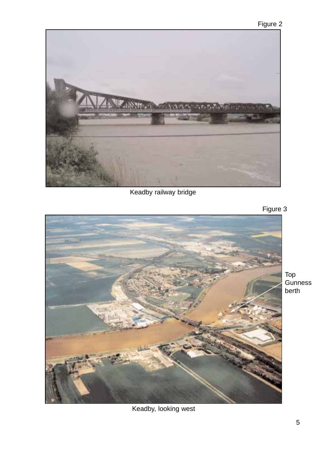

Keadby railway bridge



Top

**Gunness** berth

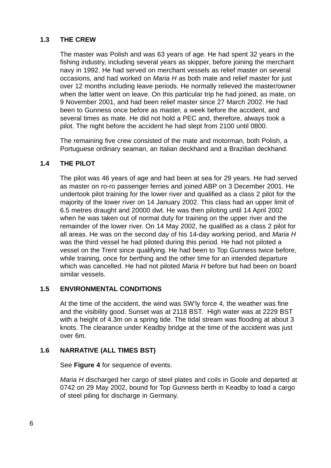#### <span id="page-9-0"></span>**[1.3 THE CREW](#page-2-0)**

The master was Polish and was 63 years of age. He had spent 32 years in the fishing industry, including several years as skipper, before joining the merchant navy in 1992. He had served on merchant vessels as relief master on several occasions, and had worked on *Maria H* as both mate and relief master for just over 12 months including leave periods. He normally relieved the master/owner when the latter went on leave. On this particular trip he had joined, as mate, on 9 November 2001, and had been relief master since 27 March 2002. He had been to Gunness once before as master, a week before the accident, and several times as mate. He did not hold a PEC and, therefore, always took a pilot. The night before the accident he had slept from 2100 until 0800.

The remaining five crew consisted of the mate and motorman, both Polish, a Portuguese ordinary seaman, an Italian deckhand and a Brazilian deckhand.

#### **[1.4 THE PILOT](#page-2-0)**

The pilot was 46 years of age and had been at sea for 29 years. He had served as master on ro-ro passenger ferries and joined ABP on 3 December 2001. He undertook pilot training for the lower river and qualified as a class 2 pilot for the majority of the lower river on 14 January 2002. This class had an upper limit of 6.5 metres draught and 20000 dwt. He was then piloting until 14 April 2002 when he was taken out of normal duty for training on the upper river and the remainder of the lower river. On 14 May 2002, he qualified as a class 2 pilot for all areas. He was on the second day of his 14-day working period, and *Maria H* was the third vessel he had piloted during this period. He had not piloted a vessel on the Trent since qualifying. He had been to Top Gunness twice before, while training, once for berthing and the other time for an intended departure which was cancelled. He had not piloted *Maria H* before but had been on board similar vessels.

#### **[1.5 ENVIRONMENTAL CONDITIONS](#page-2-0)**

At the time of the accident, the wind was SW'ly force 4, the weather was fine and the visibility good. Sunset was at 2118 BST. High water was at 2229 BST with a height of 4.3m on a spring tide. The tidal stream was flooding at about 3 knots. The clearance under Keadby bridge at the time of the accident was just over 6m.

#### **[1.6 NARRATIVE \(ALL TIMES BST\)](#page-2-0)**

See **Figure 4** for sequence of events.

*Maria H* discharged her cargo of steel plates and coils in Goole and departed at 0742 on 29 May 2002, bound for Top Gunness berth in Keadby to load a cargo of steel piling for discharge in Germany.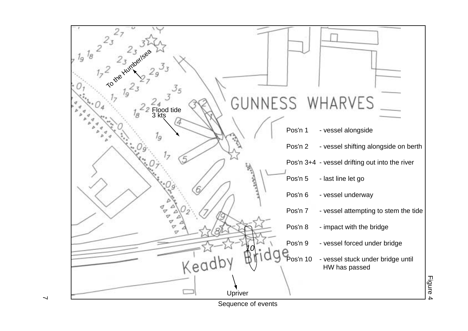

 $\overline{\phantom{0}}$ 

Sequence of events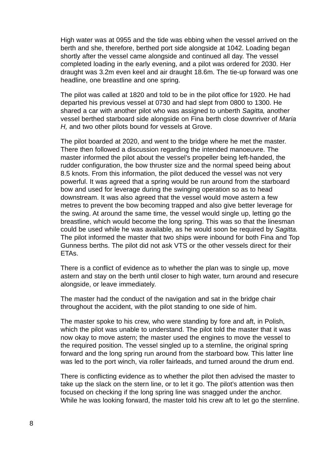High water was at 0955 and the tide was ebbing when the vessel arrived on the berth and she, therefore, berthed port side alongside at 1042. Loading began shortly after the vessel came alongside and continued all day. The vessel completed loading in the early evening, and a pilot was ordered for 2030. Her draught was 3.2m even keel and air draught 18.6m. The tie-up forward was one headline, one breastline and one spring.

The pilot was called at 1820 and told to be in the pilot office for 1920. He had departed his previous vessel at 0730 and had slept from 0800 to 1300. He shared a car with another pilot who was assigned to unberth *Sagitta,* another vessel berthed starboard side alongside on Fina berth close downriver of *Maria H,* and two other pilots bound for vessels at Grove.

The pilot boarded at 2020, and went to the bridge where he met the master. There then followed a discussion regarding the intended manoeuvre. The master informed the pilot about the vessel's propeller being left-handed, the rudder configuration, the bow thruster size and the normal speed being about 8.5 knots. From this information, the pilot deduced the vessel was not very powerful. It was agreed that a spring would be run around from the starboard bow and used for leverage during the swinging operation so as to head downstream. It was also agreed that the vessel would move astern a few metres to prevent the bow becoming trapped and also give better leverage for the swing. At around the same time, the vessel would single up, letting go the breastline, which would become the long spring. This was so that the linesman could be used while he was available, as he would soon be required by *Sagitta.* The pilot informed the master that two ships were inbound for both Fina and Top Gunness berths. The pilot did not ask VTS or the other vessels direct for their ETAs.

There is a conflict of evidence as to whether the plan was to single up, move astern and stay on the berth until closer to high water, turn around and resecure alongside, or leave immediately.

The master had the conduct of the navigation and sat in the bridge chair throughout the accident, with the pilot standing to one side of him.

The master spoke to his crew, who were standing by fore and aft, in Polish, which the pilot was unable to understand. The pilot told the master that it was now okay to move astern; the master used the engines to move the vessel to the required position. The vessel singled up to a sternline, the original spring forward and the long spring run around from the starboard bow. This latter line was led to the port winch, via roller fairleads, and turned around the drum end.

There is conflicting evidence as to whether the pilot then advised the master to take up the slack on the stern line, or to let it go. The pilot's attention was then focused on checking if the long spring line was snagged under the anchor. While he was looking forward, the master told his crew aft to let go the sternline.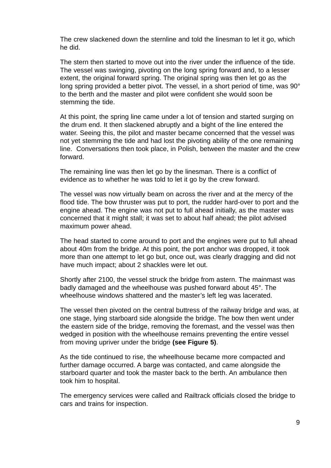The crew slackened down the sternline and told the linesman to let it go, which he did.

The stern then started to move out into the river under the influence of the tide. The vessel was swinging, pivoting on the long spring forward and, to a lesser extent, the original forward spring. The original spring was then let go as the long spring provided a better pivot. The vessel, in a short period of time, was 90° to the berth and the master and pilot were confident she would soon be stemming the tide.

At this point, the spring line came under a lot of tension and started surging on the drum end. It then slackened abruptly and a bight of the line entered the water. Seeing this, the pilot and master became concerned that the vessel was not yet stemming the tide and had lost the pivoting ability of the one remaining line. Conversations then took place, in Polish, between the master and the crew forward.

The remaining line was then let go by the linesman. There is a conflict of evidence as to whether he was told to let it go by the crew forward.

The vessel was now virtually beam on across the river and at the mercy of the flood tide. The bow thruster was put to port, the rudder hard-over to port and the engine ahead. The engine was not put to full ahead initially, as the master was concerned that it might stall; it was set to about half ahead; the pilot advised maximum power ahead.

The head started to come around to port and the engines were put to full ahead about 40m from the bridge. At this point, the port anchor was dropped, it took more than one attempt to let go but, once out, was clearly dragging and did not have much impact; about 2 shackles were let out.

Shortly after 2100, the vessel struck the bridge from astern. The mainmast was badly damaged and the wheelhouse was pushed forward about 45°. The wheelhouse windows shattered and the master's left leg was lacerated.

The vessel then pivoted on the central buttress of the railway bridge and was, at one stage, lying starboard side alongside the bridge. The bow then went under the eastern side of the bridge, removing the foremast, and the vessel was then wedged in position with the wheelhouse remains preventing the entire vessel from moving upriver under the bridge **(see Figure 5)**.

As the tide continued to rise, the wheelhouse became more compacted and further damage occurred. A barge was contacted, and came alongside the starboard quarter and took the master back to the berth. An ambulance then took him to hospital.

The emergency services were called and Railtrack officials closed the bridge to cars and trains for inspection.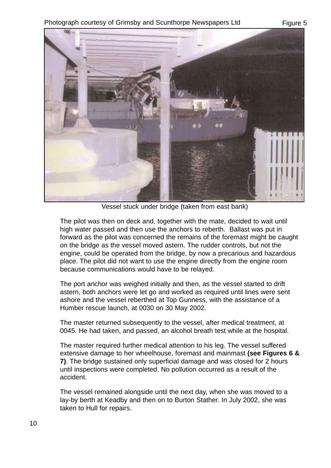

Vessel stuck under bridge (taken from east bank)

The pilot was then on deck and, together with the mate, decided to wait until high water passed and then use the anchors to reberth. Ballast was put in forward as the pilot was concerned the remains of the foremast might be caught on the bridge as the vessel moved astern. The rudder controls, but not the engine, could be operated from the bridge, by now a precarious and hazardous place. The pilot did not want to use the engine directly from the engine room because communications would have to be relayed.

The port anchor was weighed initially and then, as the vessel started to drift astern, both anchors were let go and worked as required until lines were sent ashore and the vessel reberthed at Top Gunness, with the assistance of a Humber rescue launch, at 0030 on 30 May 2002.

The master returned subsequently to the vessel, after medical treatment, at 0045. He had taken, and passed, an alcohol breath test while at the hospital.

The master required further medical attention to his leg. The vessel suffered extensive damage to her wheelhouse, foremast and mainmast **(see Figures 6 & 7)**. The bridge sustained only superficial damage and was closed for 2 hours until inspections were completed. No pollution occurred as a result of the accident.

The vessel remained alongside until the next day, when she was moved to a lay-by berth at Keadby and then on to Burton Stather. In July 2002, she was taken to Hull for repairs.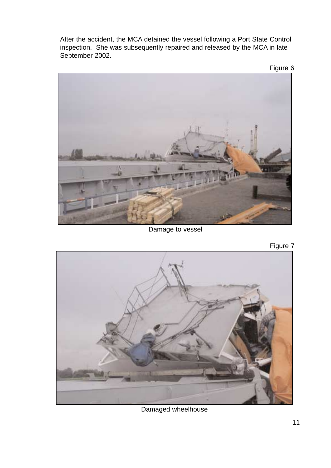After the accident, the MCA detained the vessel following a Port State Control inspection. She was subsequently repaired and released by the MCA in late September 2002.





Damage to vessel

Figure 7



Damaged wheelhouse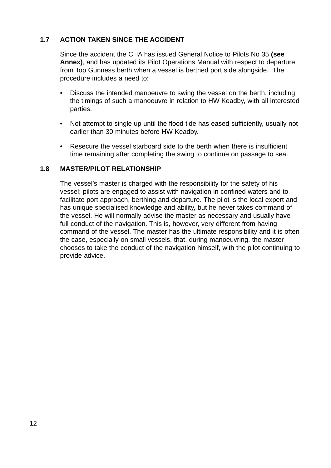#### <span id="page-15-0"></span>**[1.7 ACTION TAKEN SINCE THE ACCIDENT](#page-2-0)**

Since the accident the CHA has issued General Notice to Pilots No 35 **(see Annex)**, and has updated its Pilot Operations Manual with respect to departure from Top Gunness berth when a vessel is berthed port side alongside. The procedure includes a need to:

- Discuss the intended manoeuvre to swing the vessel on the berth, including the timings of such a manoeuvre in relation to HW Keadby, with all interested parties.
- Not attempt to single up until the flood tide has eased sufficiently, usually not earlier than 30 minutes before HW Keadby.
- Resecure the vessel starboard side to the berth when there is insufficient time remaining after completing the swing to continue on passage to sea.

#### **[1.8 MASTER/PILOT RELATIONSHIP](#page-2-0)**

The vessel's master is charged with the responsibility for the safety of his vessel; pilots are engaged to assist with navigation in confined waters and to facilitate port approach, berthing and departure. The pilot is the local expert and has unique specialised knowledge and ability, but he never takes command of the vessel. He will normally advise the master as necessary and usually have full conduct of the navigation. This is, however, very different from having command of the vessel. The master has the ultimate responsibility and it is often the case, especially on small vessels, that, during manoeuvring, the master chooses to take the conduct of the navigation himself, with the pilot continuing to provide advice.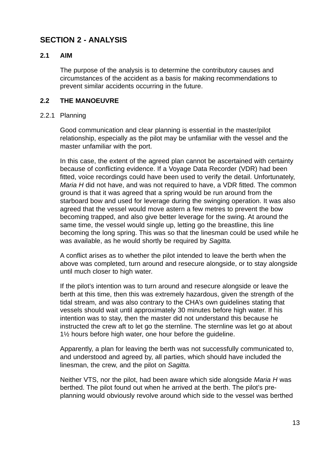## <span id="page-16-0"></span>**[SECTION 2 - ANALYSIS](#page-2-0)**

#### **2.1 AIM**

The purpose of the analysis is to determine the contributory causes and circumstances of the accident as a basis for making recommendations to prevent similar accidents occurring in the future.

#### **[2.2 THE MANOEUVRE](#page-2-0)**

#### 2.2.1 Planning

Good communication and clear planning is essential in the master/pilot relationship, especially as the pilot may be unfamiliar with the vessel and the master unfamiliar with the port.

In this case, the extent of the agreed plan cannot be ascertained with certainty because of conflicting evidence. If a Voyage Data Recorder (VDR) had been fitted, voice recordings could have been used to verify the detail. Unfortunately, *Maria H* did not have, and was not required to have, a VDR fitted. The common ground is that it was agreed that a spring would be run around from the starboard bow and used for leverage during the swinging operation. It was also agreed that the vessel would move astern a few metres to prevent the bow becoming trapped, and also give better leverage for the swing. At around the same time, the vessel would single up, letting go the breastline, this line becoming the long spring. This was so that the linesman could be used while he was available, as he would shortly be required by *Sagitta.*

A conflict arises as to whether the pilot intended to leave the berth when the above was completed, turn around and resecure alongside, or to stay alongside until much closer to high water.

If the pilot's intention was to turn around and resecure alongside or leave the berth at this time, then this was extremely hazardous, given the strength of the tidal stream, and was also contrary to the CHA's own guidelines stating that vessels should wait until approximately 30 minutes before high water. If his intention was to stay, then the master did not understand this because he instructed the crew aft to let go the sternline. The sternline was let go at about 1½ hours before high water, one hour before the guideline.

Apparently, a plan for leaving the berth was not successfully communicated to, and understood and agreed by, all parties, which should have included the linesman, the crew, and the pilot on *Sagitta.*

Neither VTS, nor the pilot, had been aware which side alongside *Maria H* was berthed. The pilot found out when he arrived at the berth. The pilot's preplanning would obviously revolve around which side to the vessel was berthed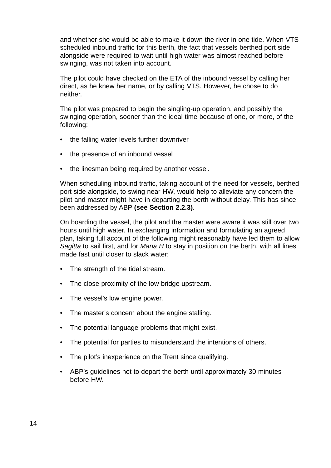and whether she would be able to make it down the river in one tide. When VTS scheduled inbound traffic for this berth, the fact that vessels berthed port side alongside were required to wait until high water was almost reached before swinging, was not taken into account.

The pilot could have checked on the ETA of the inbound vessel by calling her direct, as he knew her name, or by calling VTS. However, he chose to do neither.

The pilot was prepared to begin the singling-up operation, and possibly the swinging operation, sooner than the ideal time because of one, or more, of the following:

- the falling water levels further downriver
- the presence of an inbound vessel
- the linesman being required by another vessel.

When scheduling inbound traffic, taking account of the need for vessels, berthed port side alongside, to swing near HW, would help to alleviate any concern the pilot and master might have in departing the berth without delay. This has since been addressed by ABP **(see Section 2.2.3)**.

On boarding the vessel, the pilot and the master were aware it was still over two hours until high water. In exchanging information and formulating an agreed plan, taking full account of the following might reasonably have led them to allow *Sagitta* to sail first, and for *Maria H* to stay in position on the berth, with all lines made fast until closer to slack water:

- The strength of the tidal stream.
- The close proximity of the low bridge upstream.
- The vessel's low engine power.
- The master's concern about the engine stalling.
- The potential language problems that might exist.
- The potential for parties to misunderstand the intentions of others.
- The pilot's inexperience on the Trent since qualifying.
- ABP's guidelines not to depart the berth until approximately 30 minutes before HW.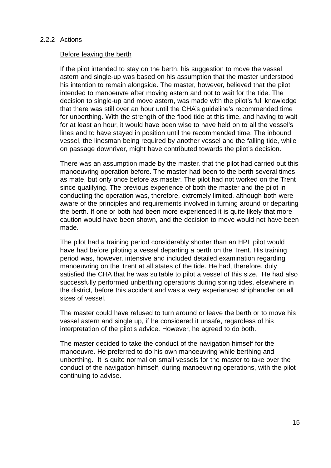#### <span id="page-18-0"></span>2.2.2 Actions

#### Before leaving the berth

If the pilot intended to stay on the berth, his suggestion to move the vessel astern and single-up was based on his assumption that the master understood his intention to remain alongside. The master, however, believed that the pilot intended to manoeuvre after moving astern and not to wait for the tide. The decision to single-up and move astern, was made with the pilot's full knowledge that there was still over an hour until the CHA's guideline's recommended time for unberthing. With the strength of the flood tide at this time, and having to wait for at least an hour, it would have been wise to have held on to all the vessel's lines and to have stayed in position until the recommended time. The inbound vessel, the linesman being required by another vessel and the falling tide, while on passage downriver, might have contributed towards the pilot's decision.

There was an assumption made by the master, that the pilot had carried out this manoeuvring operation before. The master had been to the berth several times as mate, but only once before as master. The pilot had not worked on the Trent since qualifying. The previous experience of both the master and the pilot in conducting the operation was, therefore, extremely limited, although both were aware of the principles and requirements involved in turning around or departing the berth. If one or both had been more experienced it is quite likely that more caution would have been shown, and the decision to move would not have been made.

The pilot had a training period considerably shorter than an HPL pilot would have had before piloting a vessel departing a berth on the Trent. His training period was, however, intensive and included detailed examination regarding manoeuvring on the Trent at all states of the tide. He had, therefore, duly satisfied the CHA that he was suitable to pilot a vessel of this size. He had also successfully performed unberthing operations during spring tides, elsewhere in the district, before this accident and was a very experienced shiphandler on all sizes of vessel.

The master could have refused to turn around or leave the berth or to move his vessel astern and single up, if he considered it unsafe, regardless of his interpretation of the pilot's advice. However, he agreed to do both.

The master decided to take the conduct of the navigation himself for the manoeuvre. He preferred to do his own manoeuvring while berthing and unberthing. It is quite normal on small vessels for the master to take over the conduct of the navigation himself, during manoeuvring operations, with the pilot continuing to advise.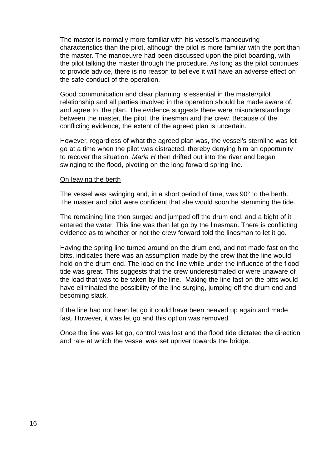The master is normally more familiar with his vessel's manoeuvring characteristics than the pilot, although the pilot is more familiar with the port than the master. The manoeuvre had been discussed upon the pilot boarding, with the pilot talking the master through the procedure. As long as the pilot continues to provide advice, there is no reason to believe it will have an adverse effect on the safe conduct of the operation.

Good communication and clear planning is essential in the master/pilot relationship and all parties involved in the operation should be made aware of, and agree to, the plan. The evidence suggests there were misunderstandings between the master, the pilot, the linesman and the crew. Because of the conflicting evidence, the extent of the agreed plan is uncertain.

However, regardless of what the agreed plan was, the vessel's sternline was let go at a time when the pilot was distracted, thereby denying him an opportunity to recover the situation. *Maria H* then drifted out into the river and began swinging to the flood, pivoting on the long forward spring line.

#### On leaving the berth

The vessel was swinging and, in a short period of time, was 90° to the berth. The master and pilot were confident that she would soon be stemming the tide.

The remaining line then surged and jumped off the drum end, and a bight of it entered the water. This line was then let go by the linesman. There is conflicting evidence as to whether or not the crew forward told the linesman to let it go.

Having the spring line turned around on the drum end, and not made fast on the bitts, indicates there was an assumption made by the crew that the line would hold on the drum end. The load on the line while under the influence of the flood tide was great. This suggests that the crew underestimated or were unaware of the load that was to be taken by the line. Making the line fast on the bitts would have eliminated the possibility of the line surging, jumping off the drum end and becoming slack.

If the line had not been let go it could have been heaved up again and made fast. However, it was let go and this option was removed.

Once the line was let go, control was lost and the flood tide dictated the direction and rate at which the vessel was set upriver towards the bridge.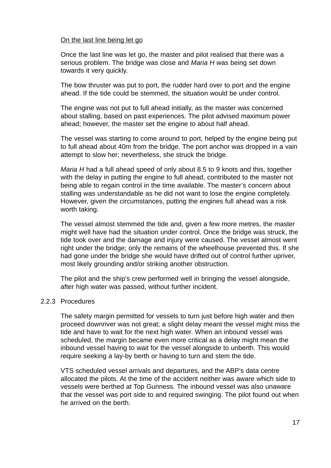#### <span id="page-20-0"></span>On the last line being let go

Once the last line was let go, the master and pilot realised that there was a serious problem. The bridge was close and *Maria H* was being set down towards it very quickly.

The bow thruster was put to port, the rudder hard over to port and the engine ahead. If the tide could be stemmed, the situation would be under control.

The engine was not put to full ahead initially, as the master was concerned about stalling, based on past experiences. The pilot advised maximum power ahead; however, the master set the engine to about half ahead.

The vessel was starting to come around to port, helped by the engine being put to full ahead about 40m from the bridge. The port anchor was dropped in a vain attempt to slow her; nevertheless, she struck the bridge.

*Maria H* had a full ahead speed of only about 8.5 to 9 knots and this, together with the delay in putting the engine to full ahead, contributed to the master not being able to regain control in the time available. The master's concern about stalling was understandable as he did not want to lose the engine completely. However, given the circumstances, putting the engines full ahead was a risk worth taking.

The vessel almost stemmed the tide and, given a few more metres, the master might well have had the situation under control. Once the bridge was struck, the tide took over and the damage and injury were caused. The vessel almost went right under the bridge; only the remains of the wheelhouse prevented this. If she had gone under the bridge she would have drifted out of control further upriver, most likely grounding and/or striking another obstruction.

The pilot and the ship's crew performed well in bringing the vessel alongside, after high water was passed, without further incident.

#### [2.2.3 Procedures](#page-2-0)

The safety margin permitted for vessels to turn just before high water and then proceed downriver was not great; a slight delay meant the vessel might miss the tide and have to wait for the next high water. When an inbound vessel was scheduled, the margin became even more critical as a delay might mean the inbound vessel having to wait for the vessel alongside to unberth. This would require seeking a lay-by berth or having to turn and stem the tide.

VTS scheduled vessel arrivals and departures, and the ABP's data centre allocated the pilots. At the time of the accident neither was aware which side to vessels were berthed at Top Gunness. The inbound vessel was also unaware that the vessel was port side to and required swinging. The pilot found out when he arrived on the berth.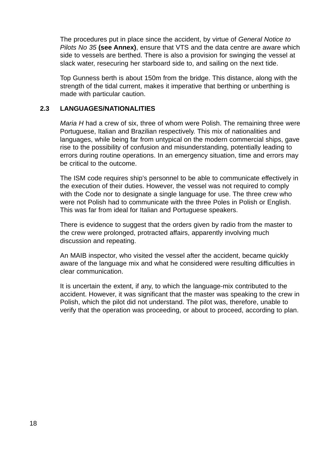<span id="page-21-0"></span>The procedures put in place since the accident, by virtue of *General Notice to Pilots No 35* **(see Annex)**, ensure that VTS and the data centre are aware which side to vessels are berthed. There is also a provision for swinging the vessel at slack water, resecuring her starboard side to, and sailing on the next tide.

Top Gunness berth is about 150m from the bridge. This distance, along with the strength of the tidal current, makes it imperative that berthing or unberthing is made with particular caution.

#### **[2.3 LANGUAGES/NATIONALITIES](#page-2-0)**

*Maria H* had a crew of six, three of whom were Polish. The remaining three were Portuguese, Italian and Brazilian respectively. This mix of nationalities and languages, while being far from untypical on the modern commercial ships, gave rise to the possibility of confusion and misunderstanding, potentially leading to errors during routine operations. In an emergency situation, time and errors may be critical to the outcome.

The ISM code requires ship's personnel to be able to communicate effectively in the execution of their duties. However, the vessel was not required to comply with the Code nor to designate a single language for use. The three crew who were not Polish had to communicate with the three Poles in Polish or English. This was far from ideal for Italian and Portuguese speakers.

There is evidence to suggest that the orders given by radio from the master to the crew were prolonged, protracted affairs, apparently involving much discussion and repeating.

An MAIB inspector, who visited the vessel after the accident, became quickly aware of the language mix and what he considered were resulting difficulties in clear communication.

It is uncertain the extent, if any, to which the language-mix contributed to the accident. However, it was significant that the master was speaking to the crew in Polish, which the pilot did not understand. The pilot was, therefore, unable to verify that the operation was proceeding, or about to proceed, according to plan.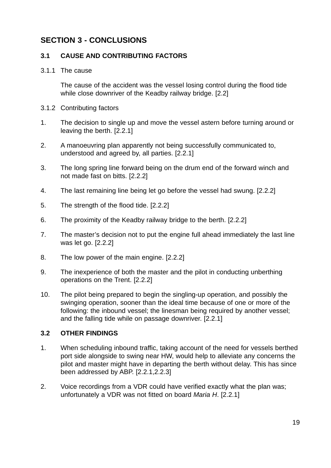## <span id="page-22-0"></span>**[SECTION 3 - CONCLUSIONS](#page-2-0)**

#### **3.1 CAUSE AND CONTRIBUTING FACTORS**

#### 3.1.1 The cause

The cause of the accident was the vessel losing control during the flood tide while close downriver of the Keadby railway bridge. [2.2]

- 3.1.2 Contributing factors
- 1. The decision to single up and move the vessel astern before turning around or leaving the berth. [2.2.1]
- 2. A manoeuvring plan apparently not being successfully communicated to, understood and agreed by, all parties. [2.2.1]
- 3. The long spring line forward being on the drum end of the forward winch and not made fast on bitts. [2.2.2]
- 4. The last remaining line being let go before the vessel had swung. [2.2.2]
- 5. The strength of the flood tide. [2.2.2]
- 6. The proximity of the Keadby railway bridge to the berth. [2.2.2]
- 7. The master's decision not to put the engine full ahead immediately the last line was let go. [2.2.2]
- 8. The low power of the main engine. [2.2.2]
- 9. The inexperience of both the master and the pilot in conducting unberthing operations on the Trent. [2.2.2]
- 10. The pilot being prepared to begin the singling-up operation, and possibly the swinging operation, sooner than the ideal time because of one or more of the following: the inbound vessel; the linesman being required by another vessel; and the falling tide while on passage downriver. [2.2.1]

#### **[3.2 OTHER FINDINGS](#page-2-0)**

- 1. When scheduling inbound traffic, taking account of the need for vessels berthed port side alongside to swing near HW, would help to alleviate any concerns the pilot and master might have in departing the berth without delay. This has since been addressed by ABP. [2.2.1,2.2.3]
- 2. Voice recordings from a VDR could have verified exactly what the plan was; unfortunately a VDR was not fitted on board *Maria H*. [2.2.1]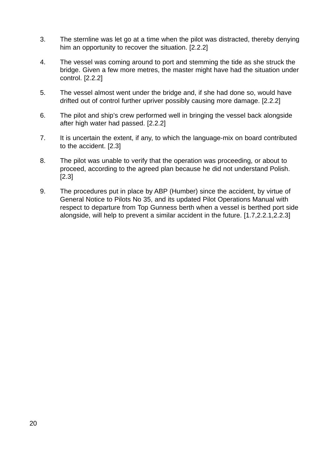- 3. The sternline was let go at a time when the pilot was distracted, thereby denying him an opportunity to recover the situation. [2.2.2]
- 4. The vessel was coming around to port and stemming the tide as she struck the bridge. Given a few more metres, the master might have had the situation under control. [2.2.2]
- 5. The vessel almost went under the bridge and, if she had done so, would have drifted out of control further upriver possibly causing more damage. [2.2.2]
- 6. The pilot and ship's crew performed well in bringing the vessel back alongside after high water had passed. [2.2.2]
- 7. It is uncertain the extent, if any, to which the language-mix on board contributed to the accident. [2.3]
- 8. The pilot was unable to verify that the operation was proceeding, or about to proceed, according to the agreed plan because he did not understand Polish. [2.3]
- 9. The procedures put in place by ABP (Humber) since the accident, by virtue of General Notice to Pilots No 35, and its updated Pilot Operations Manual with respect to departure from Top Gunness berth when a vessel is berthed port side alongside, will help to prevent a similar accident in the future. [1.7,2.2.1,2.2.3]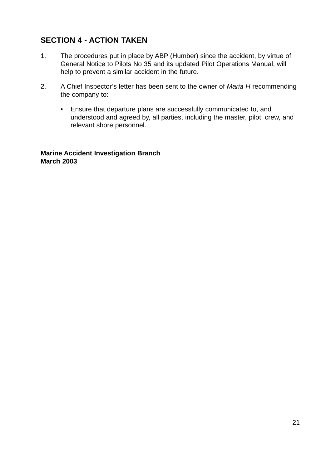# <span id="page-24-0"></span>**[SECTION 4 - ACTION TAKEN](#page-2-0)**

- 1. The procedures put in place by ABP (Humber) since the accident, by virtue of General Notice to Pilots No 35 and its updated Pilot Operations Manual, will help to prevent a similar accident in the future.
- 2. A Chief Inspector's letter has been sent to the owner of *Maria H* recommending the company to:
	- Ensure that departure plans are successfully communicated to, and understood and agreed by, all parties, including the master, pilot, crew, and relevant shore personnel.

**Marine Accident Investigation Branch March 2003**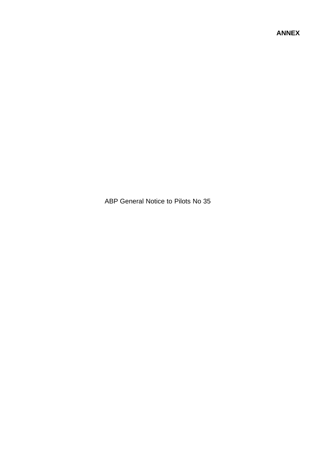<span id="page-26-0"></span>ABP General Notice to Pilots No 35